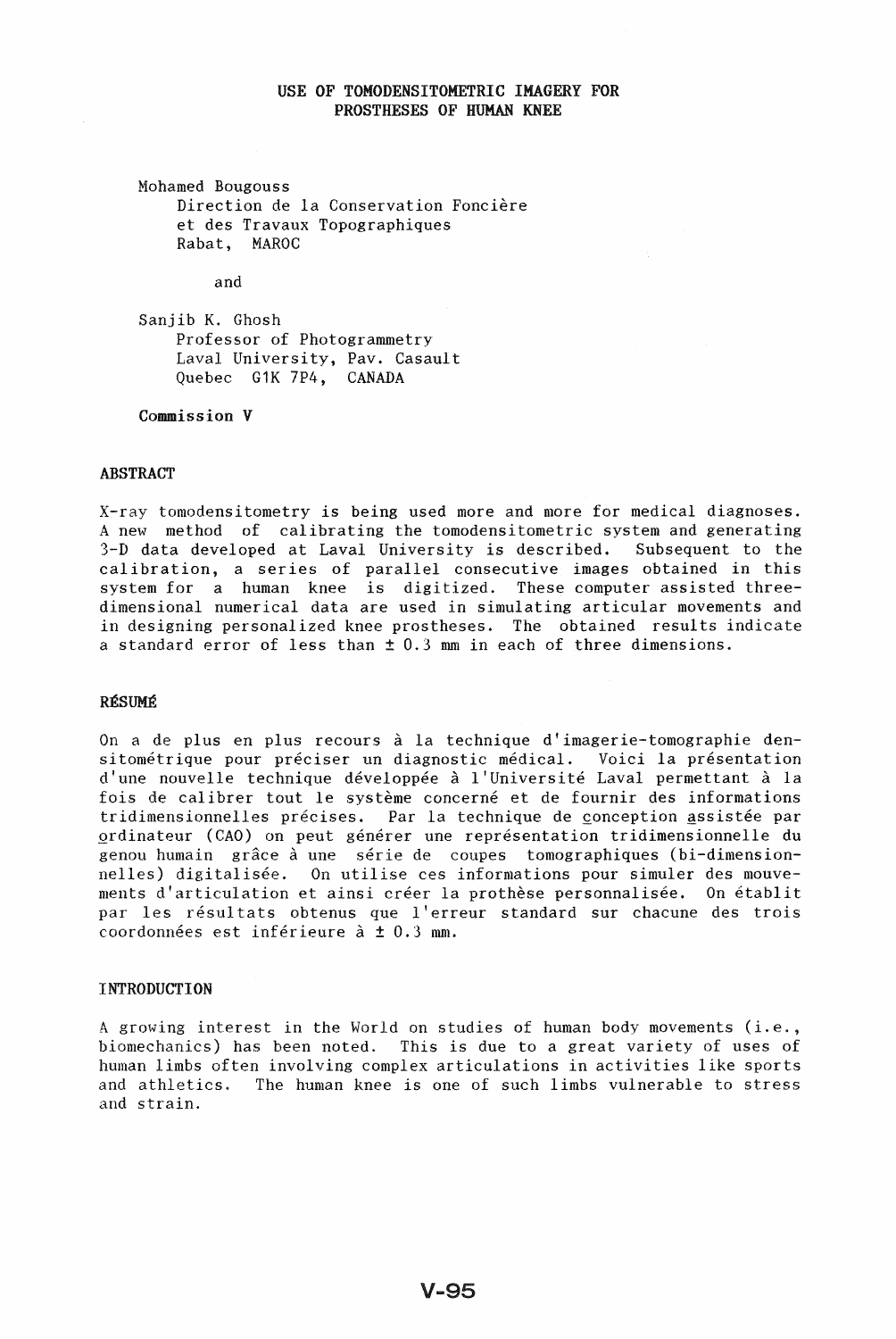# USE OF TOMODENSITOMETRIC IMAGERY FOR PROSTHESES OF HUMAN KNEE

Mohamed Bougouss Direction de la Conservation Foncière et des Travaux Topographiques Rabat, MAROC

and

Sanjib K. Ghosh Professor of Photogrammetry Laval University, Pav. Casault Quebec G1K 7P4, CANADA

Commission V

## ABSTRACT

X-ray tomodensitometry is being used more and more for medical diagnoses. A new method of calibrating the tomodensitometric system and generating 3-D data developed at Laval University is described. Subsequent to the calibration, a series of parallel consecutive images obtained in this system for a human knee is digitized. These computer assisted threedimensional numerical data are used in simulating articular movements and in designing personalized knee prostheses. The obtained results indicate a standard error of less than  $\pm$  0.3 mm in each of three dimensions.

## RÉSUMÉ

On a de plus en plus recours à la technique d'imagerie-tomographie densitométrique pour préciser un diagnostic médical. Voici la présentation d'une nouvelle technique développée à l'Université Laval permettant à la fois de calibrer tout le système concerné et de fournir des informations tridimensionnelles précises. Par la technique de conception assistée par ordinateur (CAO) on peut générer une représentation tridimensionnelle du genou humain grâce à une série de coupes tomographiques (bi-dimensionnelles) digitalisée. On utilise ces informations pour simuler des mouvements d'articulation et ainsi créer la prothèse personnalisée. On établit par les résultats obtenus que l'erreur standard sur chacune des trois coordonnées est inférieure à  $\pm$  0.3 mm.

## **INTRODUCTION**

<sup>A</sup>growing interest in the World on studies of human body movements (i.e., biomechanics) has been noted. This is due to a great variety of uses of human limbs often involving complex articulations in activities like sports and athletics. The human knee is one of such limbs vulnerable to stress and strain.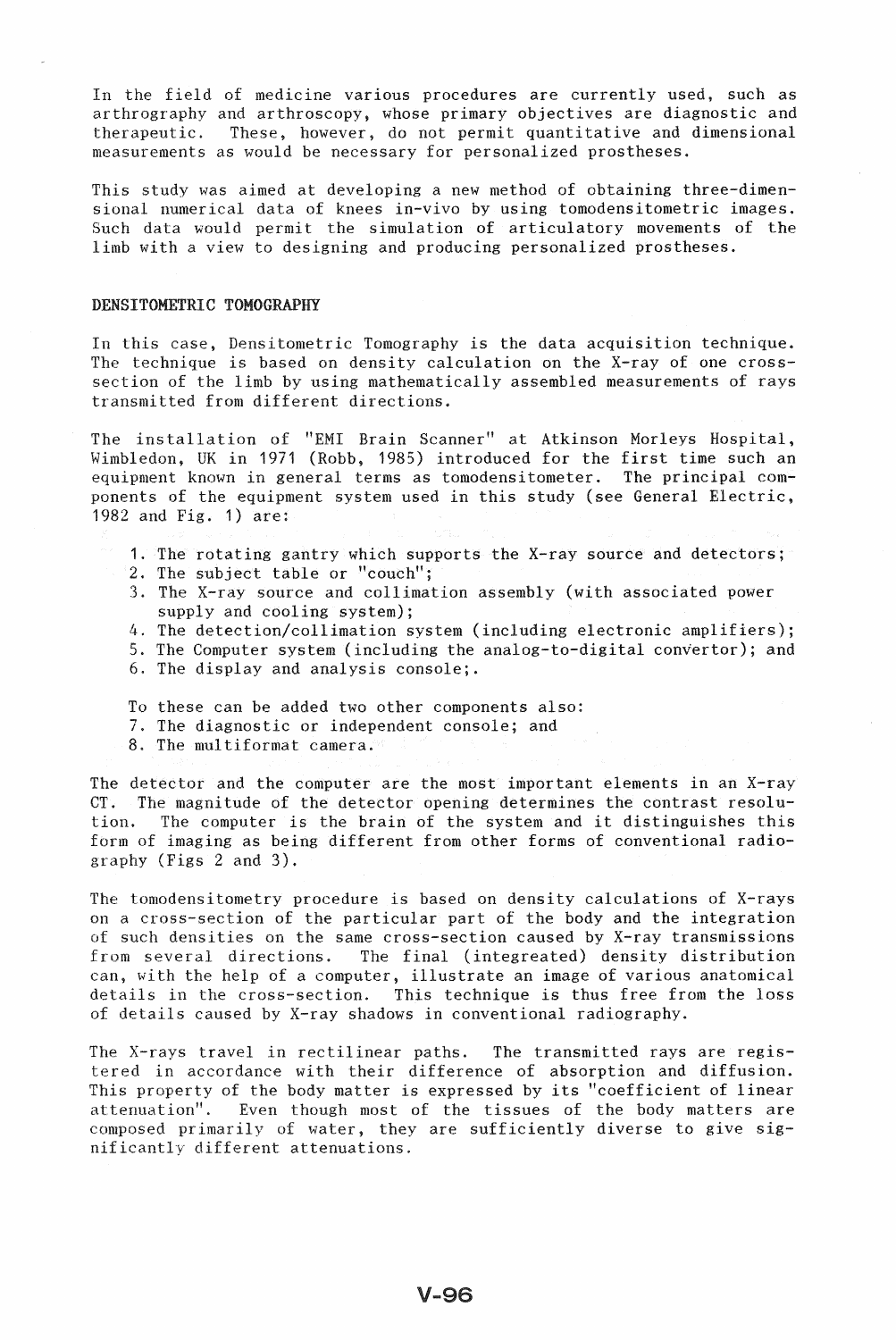In the field of medicine various procedures are currently used, such as arthrography and arthroscopy, whose primary objectives are diagnostic and therapeutic. These, however, do not permit quantitative and dimensional measurements as would be necessary for personalized prostheses.

This study was aimed at developing a new method of obtaining three-dimensional numerical data of knees in-vivo by using tomodensitometric images. Such data would permit the simulation of articulatory movements of the limb with a view to designing and producing personalized prostheses.

#### DENSITOMETRIC TOMOGRAPHY

In this case, Densitometric Tomography is the data acquisition technique. The technique is based on density calculation on the X-ray of one crosssection of the limb by using mathematically assembled measurements of rays transmitted from different directions.

The installation of "EMI Brain Scanner" at Atkinson Morleys Hospital, Wimbledon, UK in 1971 (Robb, 1985) introduced for the first time such an equipment known in general terms as tomodensitometer. The principal components of the equipment system used in this study (see General Electric, 1982 and Fig. 1) are:

- 1. The rotating gantry which supports the X-ray source and detectors;
- 2. The subject table or "couch";
- 3. The X-ray source and collimation assembly (with associated power supply and cooling system);
- 4. The detection/collimation system (including electronic amplifiers);
- 5. The Computer system (including the analog-to-digital convertor); and
- 6. The display and analysis console;.
- To these can be added two other components also:
- 7. The diagnostic or independent console; and
- 8. The multiformat camera.

The detector and the computer are the most important elements in an X-ray CT. The magnitude of the detector opening determines the contrast resolution. The computer is the brain of the system and it distinguishes this form of imaging as being different from other forms of conventional radiography (Figs 2 and 3).

The tomodensitometry procedure is based on density calculations of X-rays on a cross-section of the particular part of the body and the integration of such densities on the same cross-section caused by X-ray transmissions from several directions. The final (integreated) density distribution can, with the help of a computer, illustrate an image of various anatomical details in the cross-section. This technique is thus free from the loss of details caused by X-ray shadows in conventional radiography.

The X-rays travel in rectilinear paths. The transmitted rays are registered in accordance with their difference of absorption and diffusion. This property of the body matter is expressed by its "coefficient of linear attenuation". Even though most of the tissues of the body matters are composed primarily of water, they are sufficiently diverse to give significantly different attenuations.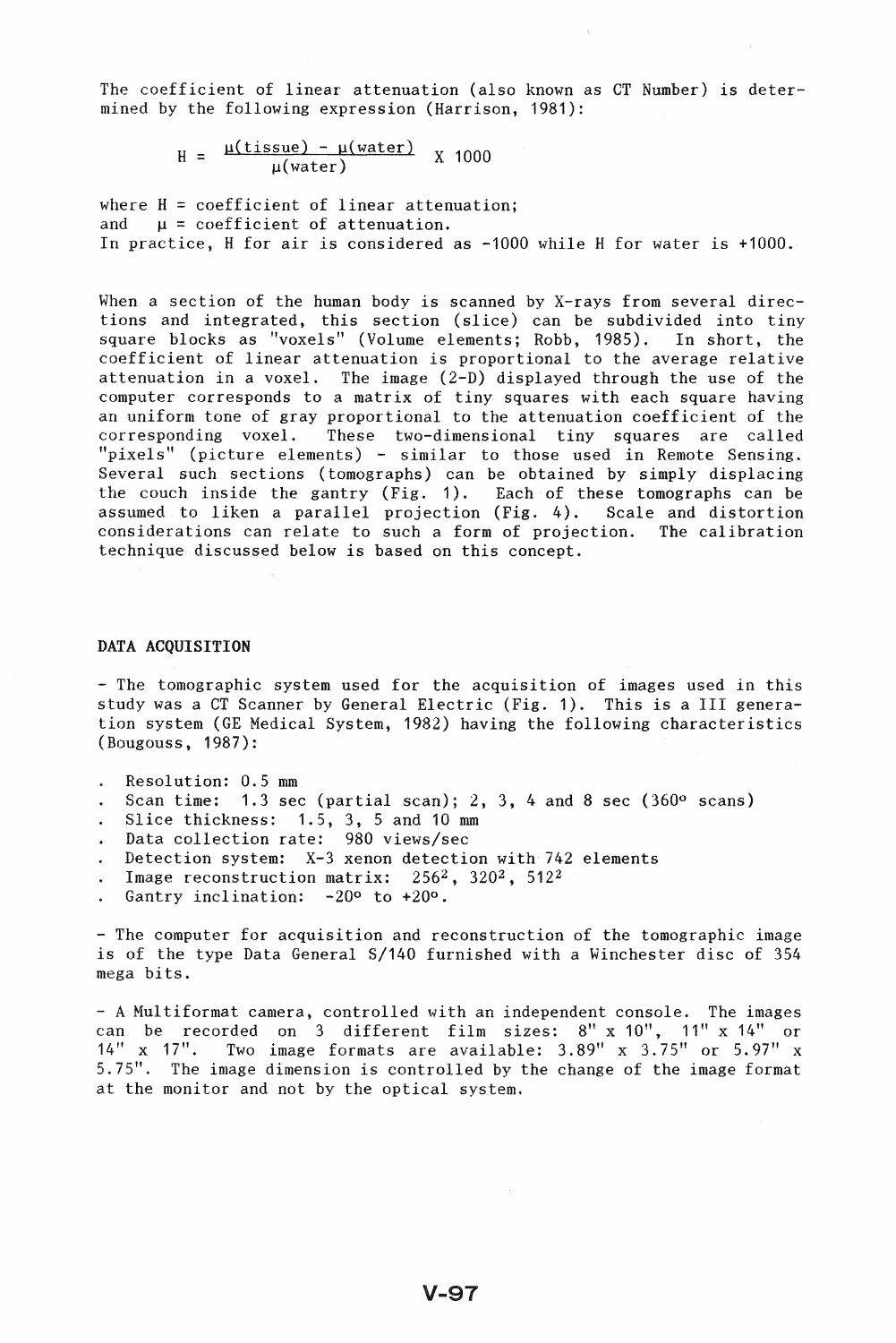The coefficient of linear attenuation (also known as CT Number) is determined by the following expression (Harrison, 1981):

> $H = \frac{\mu(\text{tissue}) - \mu(\text{water})}{\mu(\text{water})}$  $\frac{\text{Sue}}{\mu(\text{water})}$  X 1000

where  $H = coefficient of linear attenuation;$ and  $\mu$  = coefficient of attenuation. In practice, H for air is considered as -1000 while H for water is +1000.

When a section of the human body is scanned by X-rays from several directions and integrated, this section (slice) can be subdivided into tiny square blocks as "voxels" (Volume elements; Robb, 1985). In short, the coefficient of linear attenuation is proportional to the average relative attenuation in a voxel. The image (2-D) displayed through the use of the computer corresponds to a matrix of tiny squares with each square having an uniform tone of gray proportional to the attenuation coefficient of the corresponding voxel. These two-dimensional tiny squares are called "pixels" (picture elements) - similar to those used in Remote Sensing. Several such sections (tomographs) can be obtained by simply displacing the couch inside the gantry (Fig. 1). Each of these tomographs can be assumed to liken a parallel projection (Fig. 4). Scale and distortion considerations can relate to such a form of projection. The calibration technique discussed below is based on this concept.

## DATA ACQUISITION

- The tomographic system used for the acquisition of images used in this study was a CT Scanner by General Electric (Fig. 1). This is a III generation system (GE Medical System, 1982) having the following characteristics (Bougouss, 1987):

- Resolution: 0.5 mm
- Scan time: 1.3 sec (partial scan); 2, 3, 4 and 8 sec (360 $^{\circ}$  scans)
- Slice thickness: 1.5, 3, 5 and 10 mm
- Data collection rate: 980 views/sec
- Detection system: X-3 xenon detection with 742 elements
- Image reconstruction matrix: 256<sup>2</sup>, 320<sup>2</sup>, 512<sup>2</sup>  $\ddot{\phantom{0}}$
- Gantry inclination: -20° to +20°.

- The computer for acquisition and reconstruction of the tomographic image is of the type Data General S/140 furnished with a Winchester disc of 354 mega bits.

- A Multiformat camera, controlled with an independent console. The images can be recorded on 3 different film sizes:  $8'' \times 10''$ ,  $11'' \times 14''$  or  $14'' \times 17''$ . Two image formats are available:  $3.89'' \times 3.75''$  or  $5.97'' \times 16''$ Two image formats are available:  $3.89''$  x  $3.75''$  or  $5.97''$  x 5.75". The image dimension is controlled by the change of the image format at the monitor and not by the optical system.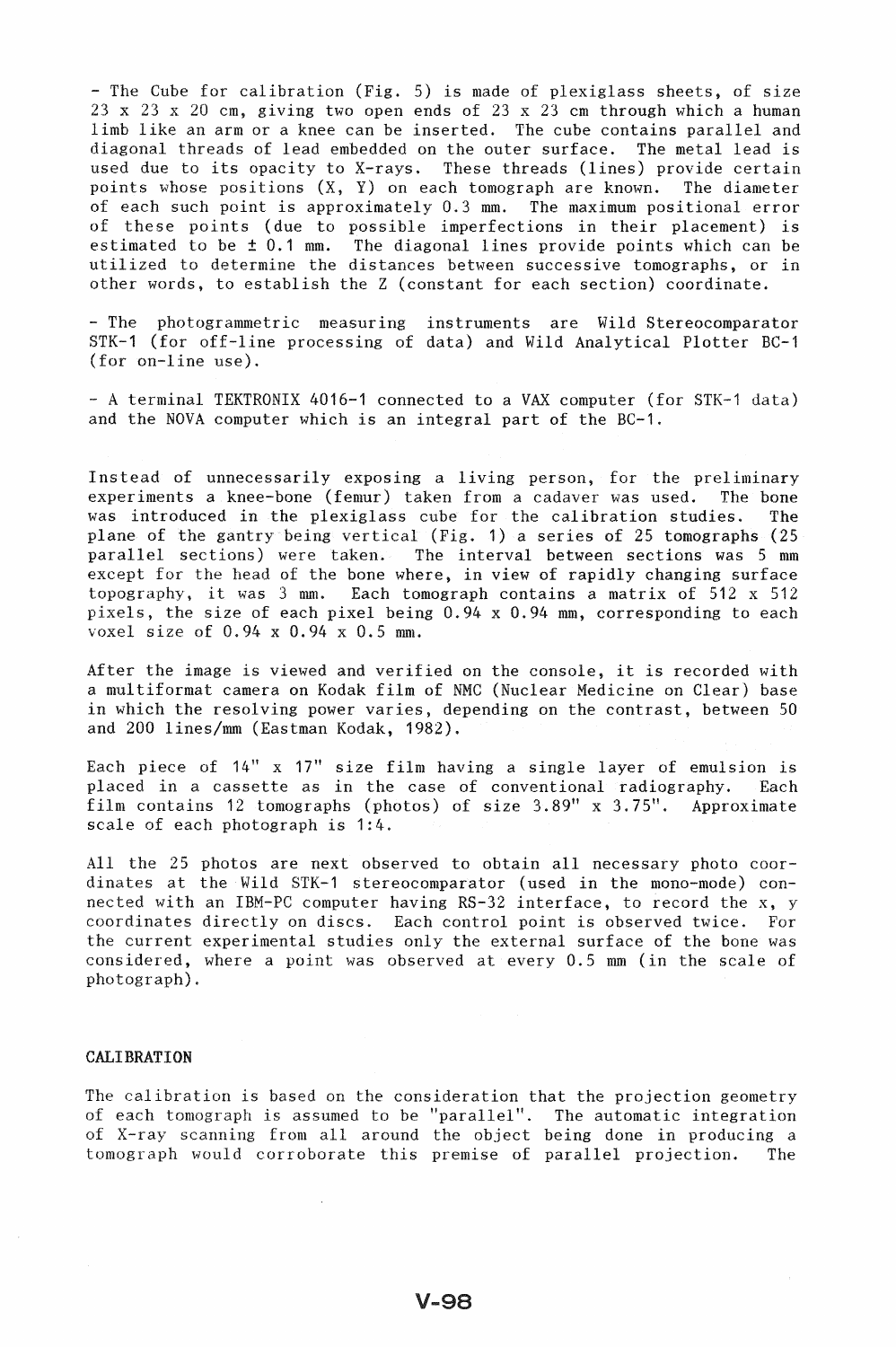- The Cube for calibration (Fig. 5) is made of plexiglass sheets, of size 23 x 23 x 20 em, giving two open ends of 23 x 23 cm through which a human limb like an arm or a knee can be inserted. The cube contains parallel and diagonal threads of lead embedded on the outer surface. The metal lead is used due to its opacity to X-rays. These threads (lines) provide certain points whose positions  $(X, Y)$  on each tomograph are known. The diameter of each such point is approximately 0.3 mm. The maximum positional error of these points (due to possible imperfections in their placement) is estimated to be ± 0.1 mm. The diagonal lines provide points which can be utilized to determine the distances between successive tomographs, or in other words, to establish the Z (constant for each section) coordinate.

- The photogrammetric measuring instruments are Wild Stereocomparator STK-1 (for off-line processing of data) and Wild Analytical Plotter BC-1 (for on-line use).

- A terminal TEKTRONIX 4016-1 connected to a VAX computer (for STK-1 data) and the NOVA computer which is an integral part of the BC-1.

Instead of unnecessarily exposing a living person, for the preliminary experiments a knee-bone (femur) taken from a cadaver was used. The bone was introduced in the plexiglass cube for the calibration studies. The plane of the gantry being vertical (Fig. 1) a series of 25 tomographs (25 parallel sections) were taken. The interval between sections was 5 mm except for the head of the bone where, in view of rapidly changing surface topography, it was 3 mm. Each tomograph contains a matrix of 512 x 512 pixels, the size of each pixel being 0.94 x 0.94 mm, corresponding to each voxel size of 0.94 x 0.94 x 0.5 mm.

After the image is viewed and verified on the console, it is recorded with a multiformat camera on Kodak film of NMC (Nuclear Medicine on Clear) base in which the resolving power varies, depending on the contrast, between 50 and 200 lines/mm (Eastman Kodak, 1982).

Each piece of 14" x 17" size film having a single layer of emulsion is placed in a cassette as in the case of conventional radiography. Each film contains 12 tomographs (photos) of size 3.89" x 3.75". Approximate scale of each photograph is 1:4.

All the 25 photos are next observed to obtain all necessary photo coordinates at the Wild STK-1 stereocomparator (used in the mono-mode) connected with an IBM-PC computer having RS-32 interface, to record the x, y coordinates directly on discs. Each control point is observed twice. For the current experimental studies only the external surface of the bone was considered, where a point was observed at every 0.5 mm (in the scale of photograph) .

#### CALIBRATION

The calibration is based on the consideration that the projection geometry of each tomograph is assumed to be "parallel". The automatic integration of X-ray scanning from all around the object being done in producing a tomograph would corroborate this premise of parallel projection. The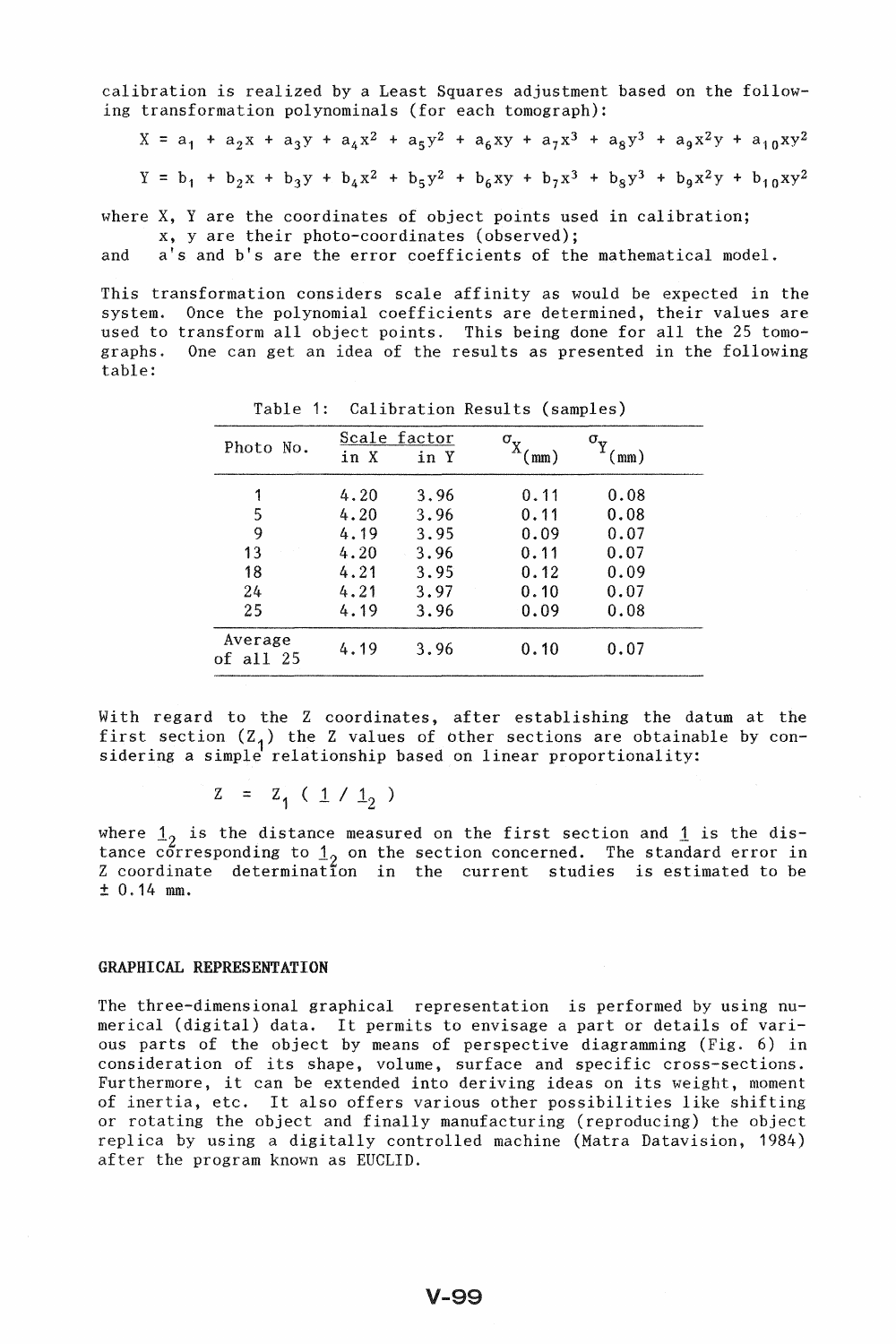calibration is realized by a Least Squares adjustment based on the following transformation polynominals (for each tomograph):

$$
X = a_1 + a_2x + a_3y + a_4x^2 + a_5y^2 + a_6xy + a_7x^3 + a_8y^3 + a_9x^2y + a_{10}xy^2
$$
  

$$
Y = b_1 + b_2x + b_3y + b_4x^2 + b_5y^2 + b_6xy + b_7x^3 + b_8y^3 + b_9x^2y + b_{10}xy^2
$$

where X, Yare the coordinates of object points used in calibration;

x, yare their photo-coordinates (observed);

and a's and b's are the error coefficients of the mathematical model.

This transformation considers scale affinity as would be expected in the system. Once the polynomial coefficients are determined, their values are used to transform all object points. This being done for all the 25 tomographs. One can get an idea of the results as presented in the following table:

| Photo No.              | Scale factor |      | σ.   | $\sigma_{\scriptscriptstyle\rm v}$ |  |
|------------------------|--------------|------|------|------------------------------------|--|
|                        | in X         | in Y | mm)  | $\text{mm}$ )                      |  |
| 1                      | 4.20         | 3.96 | 0.11 | 0.08                               |  |
| 5                      | 4.20         | 3.96 | 0.11 | 0.08                               |  |
| 9                      | 4.19         | 3.95 | 0.09 | 0.07                               |  |
| 13                     | 4.20         | 3.96 | 0.11 | 0.07                               |  |
| 18                     | 4.21         | 3.95 | 0.12 | 0.09                               |  |
| 24                     | 4.21         | 3.97 | 0.10 | 0.07                               |  |
| 25                     | 4.19         | 3.96 | 0.09 | 0.08                               |  |
| Average<br>of all $25$ | 4.19         | 3.96 | 0.10 | 0.07                               |  |

Table 1: Calibration Results (samples)

With regard to the Z coordinates, after establishing the datum at the first section  $(Z_1)$  the Z values of other sections are obtainable by considering a simple relationship based on linear proportionality:

 $Z = Z_1 (1 / 1_2)$ 

where  $1_{2}$  is the distance measured on the first section and  $1$  is the distance corresponding to  $1_2$  on the section concerned. The standard error in Z coordinate determination in the current studies is estimated to be ± 0.14 mm.

#### GRAPHICAL REPRESENTATION

The three-dimensional graphical representation is performed by using numerical (digital) data. It permits to envisage a part or details of various parts of the object by means of perspective diagramming (Fig. 6) in consideration of its shape, volume, surface and specific cross-sections. Furthermore, it can be extended into deriving ideas on its weight, moment of inertia, etc. It also offers various other possibilities like shifting or rotating the object and finally manufacturing (reproducing) the object replica by using a digitally controlled machine (Matra Datavision, 1984) after the program known as EUCLID.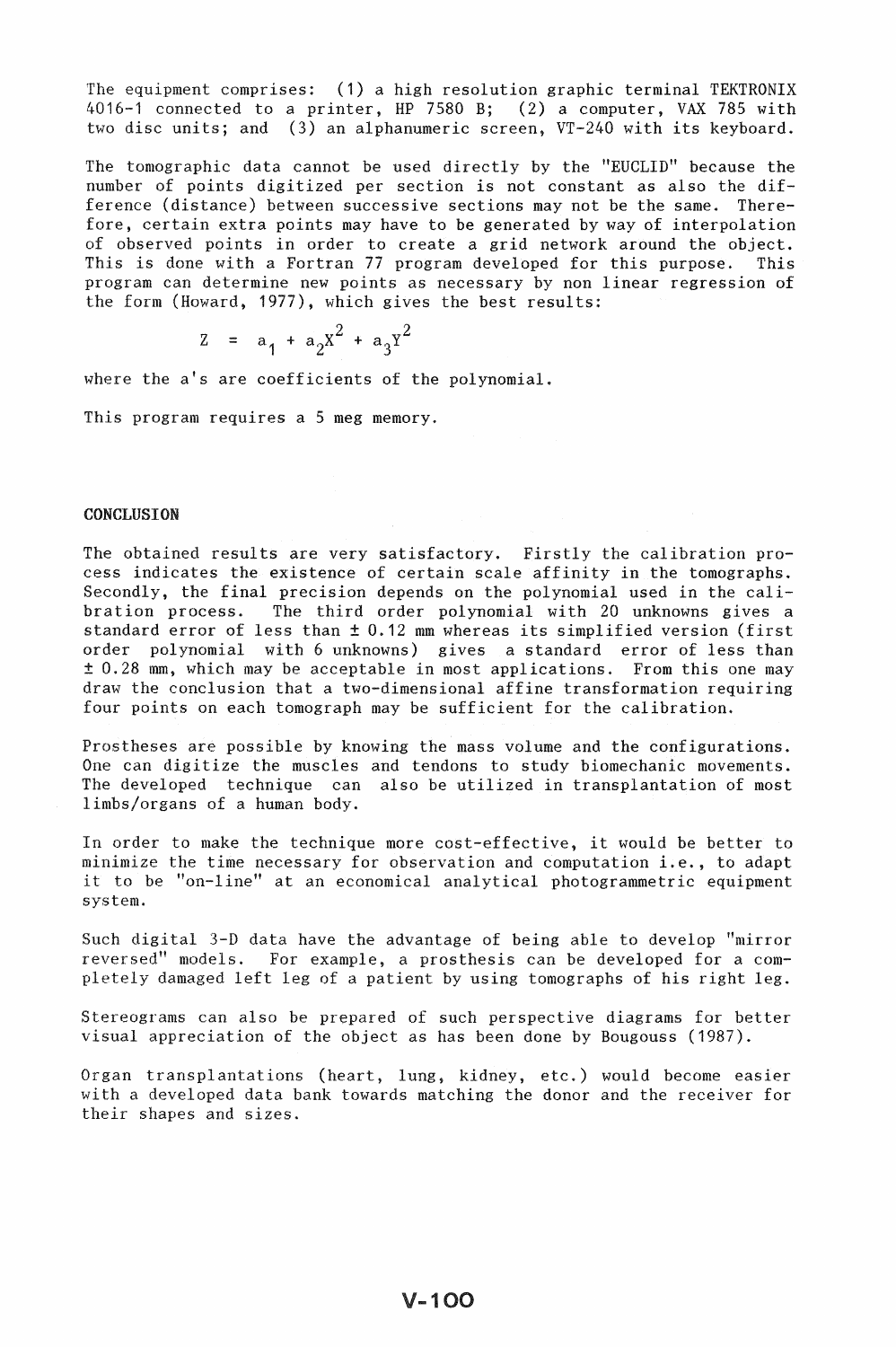The equipment comprises: (1) a high resolution graphic terminal TEKTRONIX 4016-1 connected to a printer, HP 7580 B; (2) a computer, VAX 785 with two disc units; and (3) an alphanumeric screen, VT-240 with its keyboard.

The tomographic data cannot be used directly by the "EUCLID" because the number of points digitized per section is not constant as also the difference (distance) between successive sections may not be the same. Therefore, certain extra points may have to be generated by way of interpolation of observed points in order to create a grid network around the object. This is done with a Fortran 77 program developed for this purpose. This program can determine new points as necessary by non linear regression of the form (Howard, 1977), which gives the best results:

$$
z = a_1 + a_2 x^2 + a_3 y^2
$$

where the a's are coefficients of the polynomial.

This program requires a 5 meg memory.

## **CONCLUSION**

The obtained results are very satisfactory. Firstly the calibration process indicates the existence of certain scale affinity in the tomographs. Secondly, the final precision depends on the polynomial used in the calibration process. The third order polynomial with 20 unknowns gives a standard error of less than ± 0.12 mm whereas its simplified version (first order polynomial with 6 unknowns) gives a standard error of less than ± 0.28 mm, which may be acceptable in most applications. From this one may draw the conclusion that a two-dimensional affine transformation requiring four points on each tomograph may be sufficient for the calibration.

Prostheses are possible by knowing the mass volume and the configurations. One can digitize the muscles and tendons to study biomechanic movements. The developed technique can also be utilized in transplantation of most limbs/organs of a human body.

In order to make the technique more cost-effective, it would be better to minimize the time necessary for observation and computation i.e., to adapt it to be "on-line" at an economical analytical photogrammetric equipment system.

Such digital 3-D data have the advantage of being able to develop "mirror reversed" models. For example, a prosthesis can be developed for a completely damaged left leg of a patient by using tomographs of his right leg.

Stereograms can also be prepared of such perspective diagrams for better visual appreciation of the object as has been done by Bougouss (1987).

Organ transplantations (heart, lung, kidney, etc.) would become easier with a developed data bank towards matching the donor and the receiver for their shapes and sizes.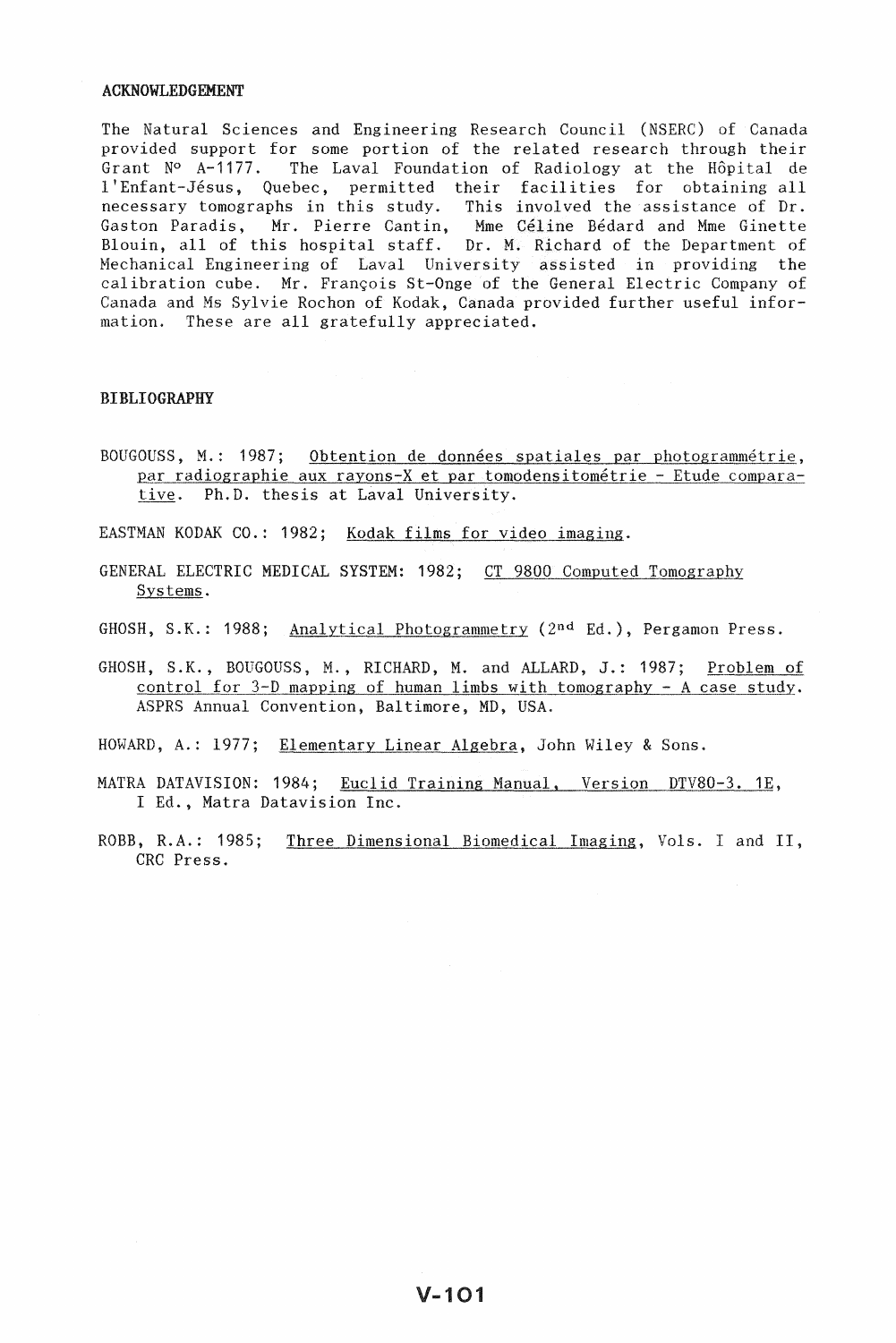#### ACKNOWLEDGEMENT

The Natural Sciences and Engineering Research Council (NSERC) of Canada provided support for some portion of the related research through their Grant  $N^{\circ}$  A-1177. The Laval Foundation of Radiology at the Hôpital de 1 'Enfant-Jesus, Quebec, permitted their facilities for obtaining all necessary tomographs in this study. This involved the assistance of Dr. Gaston Paradis, Mr. Pierre Cantin, Mme Céline Bédard and Mme Ginette Blouin, all of this hospital staff. Dr. M. Richard of the Department of Mechanical Engineering of Laval University assisted in providing the calibration cube. Mr. François St-Onge of the General Electric Company of Canada and Ms Sylvie Rochon of Kodak, Canada provided further useful information. These are all gratefully appreciated.

## BIBLIOGRAPHY

- BOUGOUSS, M.: 1987; Obtention de données spatiales par photogrammétrie, par radiographie aux rayons-X et par tomodensitometrie - Etude comparative. Ph.D. thesis at Laval University.
- EASTMAN KODAK CO.: 1982; Kodak films for video imaging.
- GENERAL ELECTRIC MEDICAL SYSTEM: 1982; CT 9800 Computed Tomography Systems.
- GHOSH, S.K.: 1988; Analytical Photogrammetry (2nd Ed.), Pergamon Press.
- GHOSH, S.K., BOUGOUSS, M., RICHARD, M. and ALLARD, J.: 1987; Problem of control for 3-D mapping of human limbs with tomography - A case study. ASPRS Annual Convention, Baltimore, MD, USA.
- HOWARD, A.: 1977; Elementary Linear Algebra, John Wiley & Sons.
- MATRA DATAVISION: 1984; Euclid Training Manual, Version DTV80-3. 1E, I Ed., Matra Datavision Inc.
- ROBB, R.A.: 1985; Three Dimensional Biomedical Imaging, Vols. I and II, CRC Press.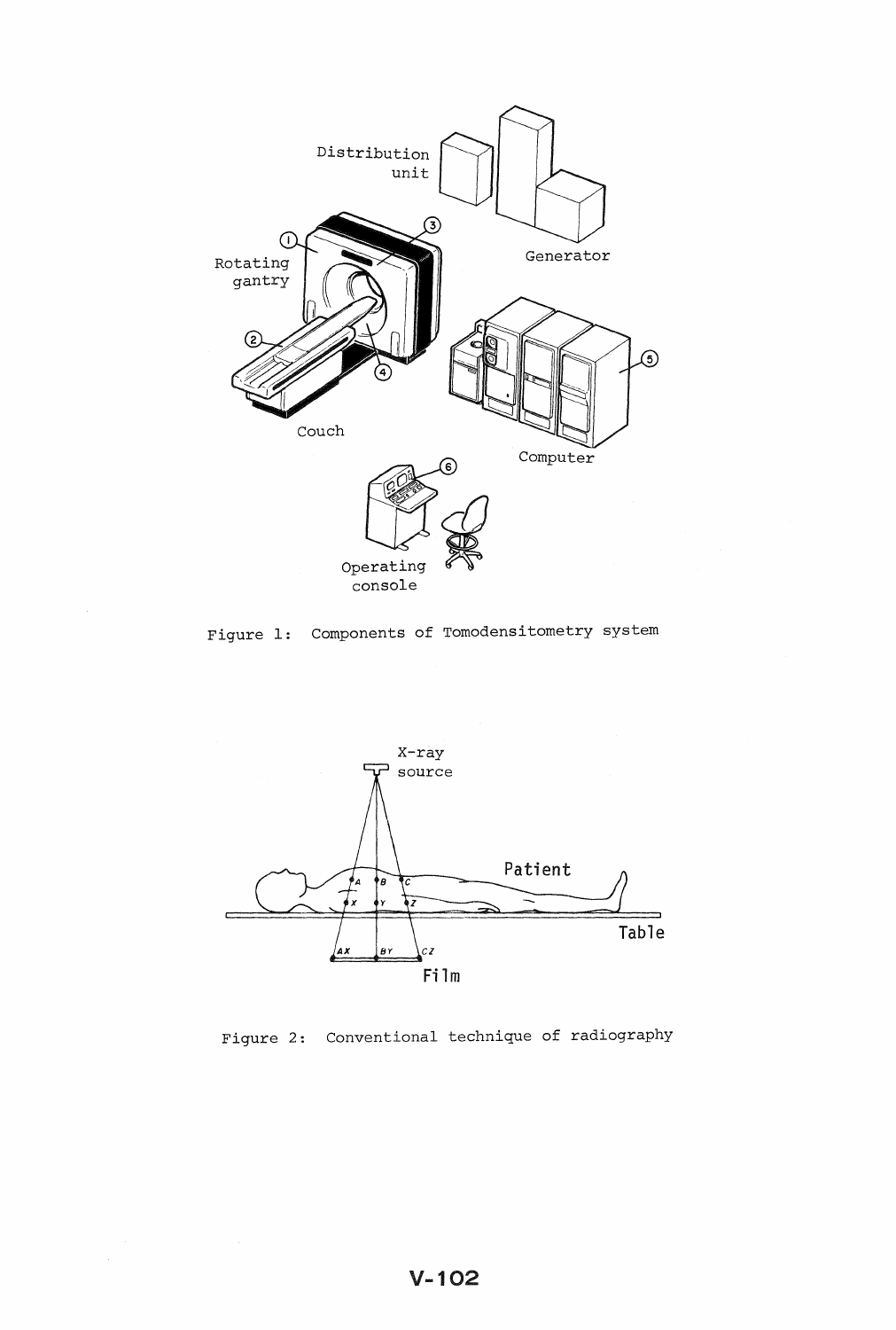





Figure 2: Conventional technique of radiography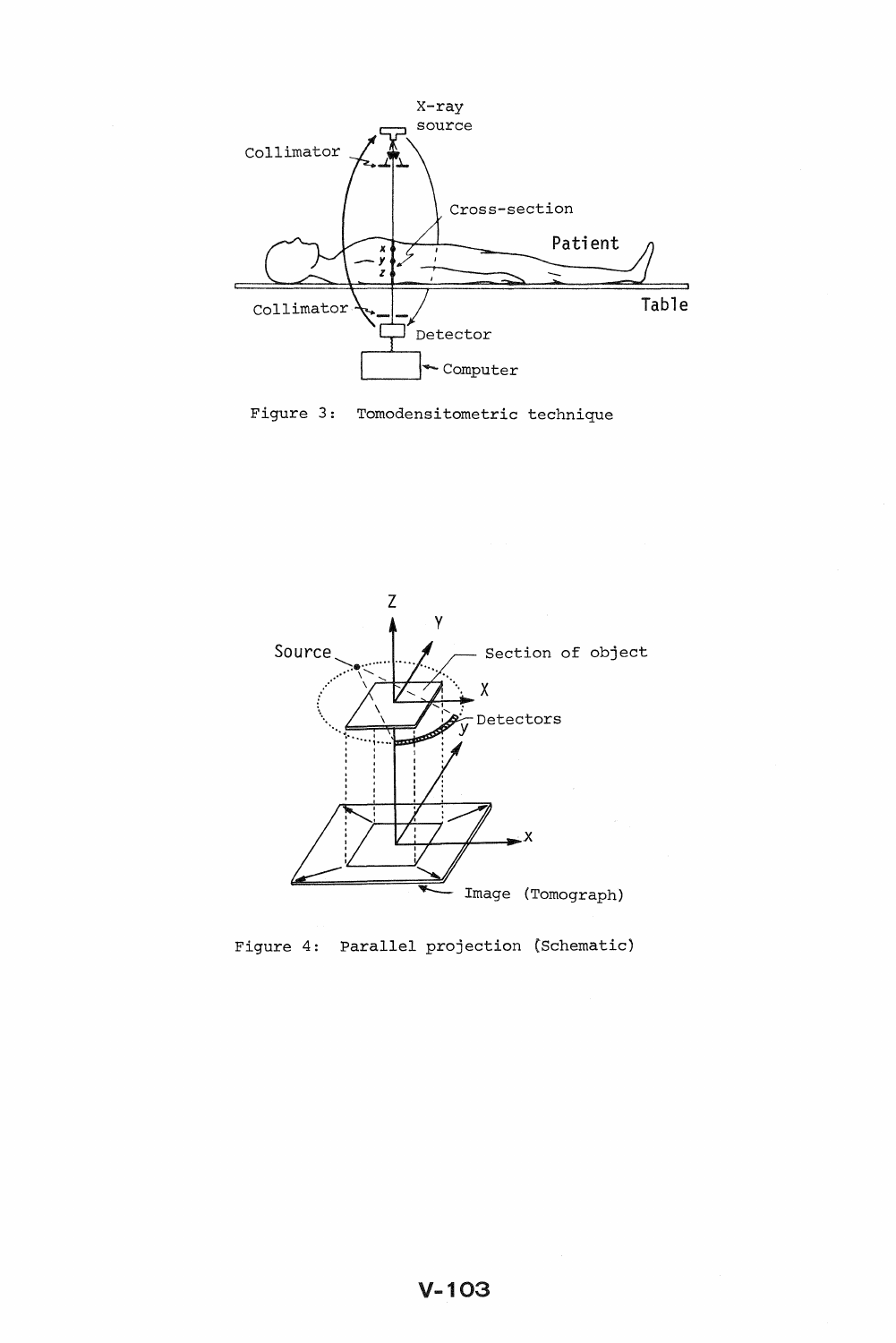





Figure 4: Parallel projection (Schematic)